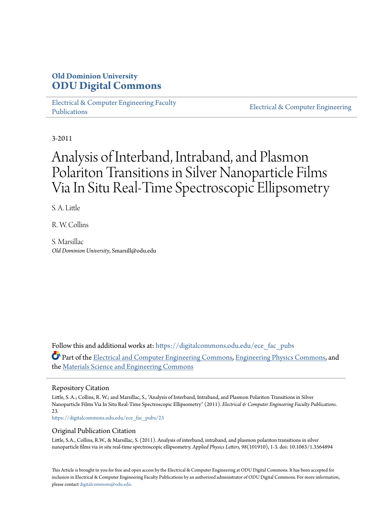## **Old Dominion University [ODU Digital Commons](https://digitalcommons.odu.edu?utm_source=digitalcommons.odu.edu%2Fece_fac_pubs%2F23&utm_medium=PDF&utm_campaign=PDFCoverPages)**

[Electrical & Computer Engineering Faculty](https://digitalcommons.odu.edu/ece_fac_pubs?utm_source=digitalcommons.odu.edu%2Fece_fac_pubs%2F23&utm_medium=PDF&utm_campaign=PDFCoverPages) [Publications](https://digitalcommons.odu.edu/ece_fac_pubs?utm_source=digitalcommons.odu.edu%2Fece_fac_pubs%2F23&utm_medium=PDF&utm_campaign=PDFCoverPages)

[Electrical & Computer Engineering](https://digitalcommons.odu.edu/ece?utm_source=digitalcommons.odu.edu%2Fece_fac_pubs%2F23&utm_medium=PDF&utm_campaign=PDFCoverPages)

3-2011

# Analysis of Interband, Intraband, and Plasmon Polariton Transitions in Silver Nanoparticle Films Via In Situ Real-Time Spectroscopic Ellipsometry

S. A. Little

R. W. Collins

S. Marsillac *Old Dominion University*, Smarsill@odu.edu

Follow this and additional works at: [https://digitalcommons.odu.edu/ece\\_fac\\_pubs](https://digitalcommons.odu.edu/ece_fac_pubs?utm_source=digitalcommons.odu.edu%2Fece_fac_pubs%2F23&utm_medium=PDF&utm_campaign=PDFCoverPages) Part of the [Electrical and Computer Engineering Commons](http://network.bepress.com/hgg/discipline/266?utm_source=digitalcommons.odu.edu%2Fece_fac_pubs%2F23&utm_medium=PDF&utm_campaign=PDFCoverPages), [Engineering Physics Commons](http://network.bepress.com/hgg/discipline/200?utm_source=digitalcommons.odu.edu%2Fece_fac_pubs%2F23&utm_medium=PDF&utm_campaign=PDFCoverPages), and the [Materials Science and Engineering Commons](http://network.bepress.com/hgg/discipline/285?utm_source=digitalcommons.odu.edu%2Fece_fac_pubs%2F23&utm_medium=PDF&utm_campaign=PDFCoverPages)

#### Repository Citation

Little, S. A.; Collins, R. W.; and Marsillac, S., "Analysis of Interband, Intraband, and Plasmon Polariton Transitions in Silver Nanoparticle Films Via In Situ Real-Time Spectroscopic Ellipsometry" (2011). *Electrical & Computer Engineering Faculty Publications*. 23.

[https://digitalcommons.odu.edu/ece\\_fac\\_pubs/23](https://digitalcommons.odu.edu/ece_fac_pubs/23?utm_source=digitalcommons.odu.edu%2Fece_fac_pubs%2F23&utm_medium=PDF&utm_campaign=PDFCoverPages)

#### Original Publication Citation

Little, S.A., Collins, R.W., & Marsillac, S. (2011). Analysis of interband, intraband, and plasmon polariton transitions in silver nanoparticle films via *in situ* real-time spectroscopic ellipsometry. *Applied Physics Letters, 98*(101910), 1-3. doi: 10.1063/1.3564894

This Article is brought to you for free and open access by the Electrical & Computer Engineering at ODU Digital Commons. It has been accepted for inclusion in Electrical & Computer Engineering Faculty Publications by an authorized administrator of ODU Digital Commons. For more information, please contact [digitalcommons@odu.edu](mailto:digitalcommons@odu.edu).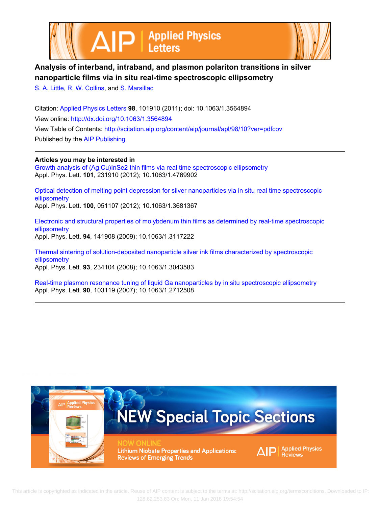



## **Analysis of interband, intraband, and plasmon polariton transitions in silver nanoparticle films via in situ real-time spectroscopic ellipsometry**

[S. A. Little,](http://scitation.aip.org/search?value1=S.+A.+Little&option1=author) [R. W. Collins](http://scitation.aip.org/search?value1=R.+W.+Collins&option1=author), and [S. Marsillac](http://scitation.aip.org/search?value1=S.+Marsillac&option1=author)

Citation: [Applied Physics Letters](http://scitation.aip.org/content/aip/journal/apl?ver=pdfcov) **98**, 101910 (2011); doi: 10.1063/1.3564894 View online: <http://dx.doi.org/10.1063/1.3564894> View Table of Contents:<http://scitation.aip.org/content/aip/journal/apl/98/10?ver=pdfcov> Published by the [AIP Publishing](http://scitation.aip.org/content/aip?ver=pdfcov)

**Articles you may be interested in**

[Growth analysis of \(Ag,Cu\)InSe2 thin films via real time spectroscopic ellipsometry](http://scitation.aip.org/content/aip/journal/apl/101/23/10.1063/1.4769902?ver=pdfcov) Appl. Phys. Lett. **101**, 231910 (2012); 10.1063/1.4769902

[Optical detection of melting point depression for silver nanoparticles via in situ real time spectroscopic](http://scitation.aip.org/content/aip/journal/apl/100/5/10.1063/1.3681367?ver=pdfcov) [ellipsometry](http://scitation.aip.org/content/aip/journal/apl/100/5/10.1063/1.3681367?ver=pdfcov)

Appl. Phys. Lett. **100**, 051107 (2012); 10.1063/1.3681367

[Electronic and structural properties of molybdenum thin films as determined by real-time spectroscopic](http://scitation.aip.org/content/aip/journal/apl/94/14/10.1063/1.3117222?ver=pdfcov) [ellipsometry](http://scitation.aip.org/content/aip/journal/apl/94/14/10.1063/1.3117222?ver=pdfcov) Appl. Phys. Lett. **94**, 141908 (2009); 10.1063/1.3117222

[Thermal sintering of solution-deposited nanoparticle silver ink films characterized by spectroscopic](http://scitation.aip.org/content/aip/journal/apl/93/23/10.1063/1.3043583?ver=pdfcov) [ellipsometry](http://scitation.aip.org/content/aip/journal/apl/93/23/10.1063/1.3043583?ver=pdfcov)

Appl. Phys. Lett. **93**, 234104 (2008); 10.1063/1.3043583

[Real-time plasmon resonance tuning of liquid Ga nanoparticles by in situ spectroscopic ellipsometry](http://scitation.aip.org/content/aip/journal/apl/90/10/10.1063/1.2712508?ver=pdfcov) Appl. Phys. Lett. **90**, 103119 (2007); 10.1063/1.2712508

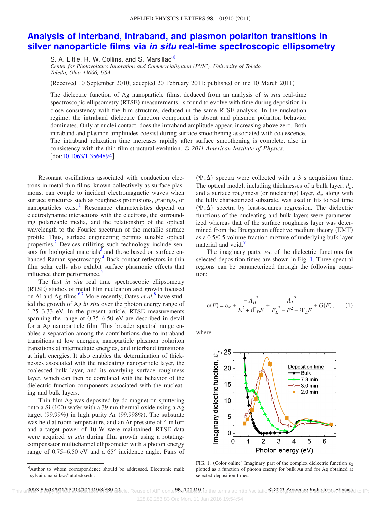## **[Analysis of interband, intraband, and plasmon polariton transitions in](http://dx.doi.org/10.1063/1.3564894) silver nanoparticle films via** *in situ* **[real-time spectroscopic ellipsometry](http://dx.doi.org/10.1063/1.3564894)**

S. A. Little, R. W. Collins, and S. Marsillac<sup>a)</sup>

*Center for Photovoltaics Innovation and Commercialization (PVIC), University of Toledo, Toledo, Ohio 43606, USA*

(Received 10 September 2010; accepted 20 February 2011; published online 10 March 2011)

The dielectric function of Ag nanoparticle films, deduced from an analysis of *in situ* real-time spectroscopic ellipsometry (RTSE) measurements, is found to evolve with time during deposition in close consistency with the film structure, deduced in the same RTSE analysis. In the nucleation regime, the intraband dielectric function component is absent and plasmon polariton behavior dominates. Only at nuclei contact, does the intraband amplitude appear, increasing above zero. Both intraband and plasmon amplitudes coexist during surface smoothening associated with coalescence. The intraband relaxation time increases rapidly after surface smoothening is complete, also in consistency with the thin film structural evolution. © *2011 American Institute of Physics*. doi[:10.1063/1.3564894](http://dx.doi.org/10.1063/1.3564894)

Resonant oscillations associated with conduction electrons in metal thin films, known collectively as surface plasmons, can couple to incident electromagnetic waves when surface structures such as roughness protrusions, gratings, or nanoparticles exist.<sup>1</sup> Resonance characteristics depend on electrodynamic interactions with the electrons, the surrounding polarizable media, and the relationship of the optical wavelength to the Fourier spectrum of the metallic surface profile. Thus, surface engineering permits tunable optical properties[.2](#page-4-1) Devices utilizing such technology include sensors for biological materials $3$  and those based on surface enhanced Raman spectroscopy.<sup>4</sup> Back contact reflectors in thin film solar cells also exhibit surface plasmonic effects that influence their performance.<sup>5</sup>

The first *in situ* real time spectroscopic ellipsometry (RTSE) studies of metal film nucleation and growth focused on Al and Ag films.<sup>6[,7](#page-4-6)</sup> More recently, Oates *et al.*<sup>[8](#page-4-7)</sup> have studied the growth of Ag *in situ* over the photon energy range of 1.25–3.33 eV. In the present article, RTSE measurements spanning the range of 0.75–6.50 eV are described in detail for a Ag nanoparticle film. This broader spectral range enables a separation among the contributions due to intraband transitions at low energies, nanoparticle plasmon polariton transitions at intermediate energies, and interband transitions at high energies. It also enables the determination of thicknesses associated with the nucleating nanoparticle layer, the coalesced bulk layer, and its overlying surface roughness layer, which can then be correlated with the behavior of the dielectric function components associated with the nucleating and bulk layers.

Thin film Ag was deposited by dc magnetron sputtering onto a Si (100) wafer with a 39 nm thermal oxide using a Ag target (99.99%) in high purity Ar (99.998%). The substrate was held at room temperature, and an Ar pressure of 4 mTorr and a target power of 10 W were maintained. RTSE data were acquired *in situ* during film growth using a rotatingcompensator multichannel ellipsometer with a photon energy range of 0.75–6.50 eV and a 65° incidence angle. Pairs of

 $(\Psi, \Delta)$  spectra were collected with a 3 s acquisition time. The optical model, including thicknesses of a bulk layer,  $d<sub>b</sub>$ , and a surface roughness (or nucleating) layer,  $d_s$ , along with the fully characterized substrate, was used in fits to real time  $(\Psi, \Delta)$  spectra by least-squares regression. The dielectric functions of the nucleating and bulk layers were parameterized whereas that of the surface roughness layer was determined from the Bruggeman effective medium theory (EMT) as a 0.5/0.5 volume fraction mixture of underlying bulk layer material and void.<sup>9</sup>

<span id="page-2-2"></span>The imaginary parts,  $\varepsilon_2$ , of the dielectric functions for selected deposition times are shown in Fig. [1.](#page-2-1) Three spectral regions can be parameterized through the following equation:

$$
\varepsilon(E) = \varepsilon_{\infty} + \frac{-A_D^2}{E^2 + i\Gamma_D E} + \frac{A_L^2}{E_L^2 - E^2 - i\Gamma_L E} + G(E),\qquad(1)
$$

<span id="page-2-1"></span>where



FIG. 1. (Color online) Imaginary part of the complex dielectric function  $\varepsilon_2$ plotted as a function of photon energy for bulk Ag and for Ag obtained at selected deposition times.

<span id="page-2-0"></span>a)Author to whom correspondence should be addressed. Electronic mail: sylvain.marsillac@utoledo.edu.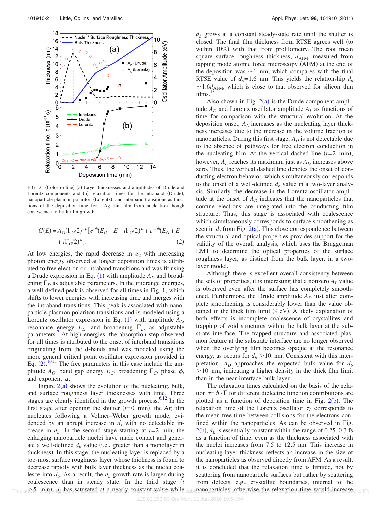<span id="page-3-1"></span>

<span id="page-3-0"></span>FIG. 2. (Color online) (a) Layer thicknesses and amplitudes of Drude and Lorentz components and (b) relaxation times for the intraband (Drude), nanoparticle plasmon polariton (Lorentz), and interband transitions as functions of the deposition time for a Ag thin film from nucleation though coalescence to bulk film growth.

$$
G(E) = A_G(\Gamma_G/2)^{-\mu} [e^{i\phi} (E_G - E - i\Gamma_G/2)^{\mu} + e^{-i\phi} (E_G + E + i\Gamma_G/2)^{\mu}].
$$
\n(2)

At low energies, the rapid decrease in  $\varepsilon_2$  with increasing photon energy observed at longer deposition times is attributed to free electron or intraband transitions and was fit using a Drude expression in Eq.  $(1)$  $(1)$  $(1)$  with amplitude  $A_D$  and broadening  $\Gamma_D$  as adjustable parameters. In the midrange energies, a well-defined peak is observed for all times in Fig. [1,](#page-2-1) which shifts to lower energies with increasing time and merges with the intraband transitions. This peak is associated with nanoparticle plasmon polariton transitions and is modeled using a Lorentz oscillator expression in Eq.  $(1)$  $(1)$  $(1)$  with amplitude  $A_L$ , resonance energy  $E_L$ , and broadening  $\Gamma_L$ , as adjustable parameters.<sup>7</sup> At high energies, the absorption step observed for all times is attributed to the onset of interband transitions originating from the d-bands and was modeled using the more general critical point oscillator expression provided in Eq.  $(2)$  $(2)$  $(2)$ .<sup>[10](#page-4-9)[,11](#page-4-10)</sup> The free parameters in this case include the amplitude  $A_G$ , band gap energy  $E_G$ , broadening  $\Gamma_G$ , phase  $\phi$ , and exponent  $\mu$ .

Figure  $2(a)$  $2(a)$  shows the evolution of the nucleating, bulk, and surface roughness layer thicknesses with time. Three stages are clearly identified in the growth process. $6,12$  $6,12$  In the first stage after opening the shutter  $(t=0 \text{ min})$ , the Ag film nucleates following a Volmer–Weber growth mode, evidenced by an abrupt increase in  $d<sub>s</sub>$  with no detectable increase in  $d<sub>b</sub>$ . In the second stage starting at  $t=2$  min, the enlarging nanoparticle nuclei have made contact and generate a well-defined  $d_b$  value (i.e., greater than a monolayer in thickness). In this stage, the nucleating layer is replaced by a top-most surface roughness layer whose thickness is found to decrease rapidly with bulk layer thickness as the nuclei coalesce into  $d_b$ . As a result, the  $d_b$  growth rate is larger during  $coalescence than in steady state. In the third stage ( $t$$  $\tau$ his ari $\gtrsim$ 5 min),  $d_0$  has saturated at a nearly constant value while

 $d<sub>b</sub>$  grows at a constant steady-state rate until the shutter is closed. The final film thickness from RTSE agrees well (to within  $10\%$ ) with that from profilometry. The root mean square surface roughness thickness,  $d_{AFM}$ , measured from tapping mode atomic force microscopy (AFM) at the end of the deposition was  $\sim$  1 nm, which compares with the final RTSE value of  $d_s = 1.6$  nm. This yields the relationship  $d_s$  $\sim$  1.6 $d$ <sub>AFM</sub>, which is close to that observed for silicon thin films.

Also shown in Fig.  $2(a)$  $2(a)$  is the Drude component amplitude  $A_D$  and Lorentz oscillator amplitude  $A_L$  as functions of time for comparison with the structural evolution. At the deposition onset,  $A_L$  increases as the nucleating layer thickness increases due to the increase in the volume fraction of nanoparticles. During this first stage,  $A<sub>D</sub>$  is not detectable due to the absence of pathways for free electron conduction in the nucleating film. At the vertical dashed line  $(t=2 \text{ min})$ , however,  $A_L$  reaches its maximum just as  $A_D$  increases above zero. Thus, the vertical dashed line denotes the onset of conducting electron behavior, which simultaneously corresponds to the onset of a well-defined  $d_b$  value in a two-layer analysis. Similarly, the decrease in the Lorentz oscillator amplitude at the onset of  $A<sub>D</sub>$  indicates that the nanoparticles that confine electrons are integrated into the conducting film structure. Thus, this stage is associated with coalescence which simultaneously corresponds to surface smoothening as seen in  $d_s$  from Fig. [2](#page-3-1)(a). This close correspondence between the structural and optical properties provides support for the validity of the overall analysis, which uses the Bruggeman EMT to determine the optical properties of the surface roughness layer, as distinct from the bulk layer, in a twolayer model.

Although there is excellent overall consistency between the sets of properties, it is interesting that a nonzero  $A_L$  value is observed even after the surface has completely smoothened. Furthermore, the Drude amplitude  $A_D$  just after complete smoothening is considerably lower than the value obtained in the thick film limit (9 eV). A likely explanation of both effects is incomplete coalescence of crystallites and trapping of void structures within the bulk layer at the substrate interface. The trapped structure and associated plasmon feature at the substrate interface are no longer observed when the overlying film becomes opaque at the resonance energy, as occurs for  $d_b$  >10 nm. Consistent with this interpretation,  $A_D$  approaches the expected bulk value for  $d_b$  $10$  nm, indicating a higher density in the thick film limit than in the near-interface bulk layer.

The relaxation times calculated on the basis of the relation  $\tau = \hbar / \Gamma$  for different dielectric function contributions are plotted as a function of deposition time in Fig.  $2(b)$  $2(b)$ . The relaxation time of the Lorentz oscillator  $\tau_L$  corresponds to the mean free time between collisions for the electrons confined within the nanoparticles. As can be observed in Fig.  $2(b)$  $2(b)$ ,  $\tau_L$  is essentially constant within the range of 0.25–0.3 fs as a function of time, even as the thickness associated with the nuclei increases from 7.5 to 12.5 nm. This increase in nucleating layer thickness reflects an increase in the size of the nanoparticles as observed directly from AFM. As a result, it is concluded that the relaxation time is limited, not by scattering from nanoparticle surfaces but rather by scattering from defects, e.g., crystallite boundaries, internal to the This aricle imin), d has saturated at a nearly constant value while subjeanoparticles; otherwise the relaxation time would increased to IP: